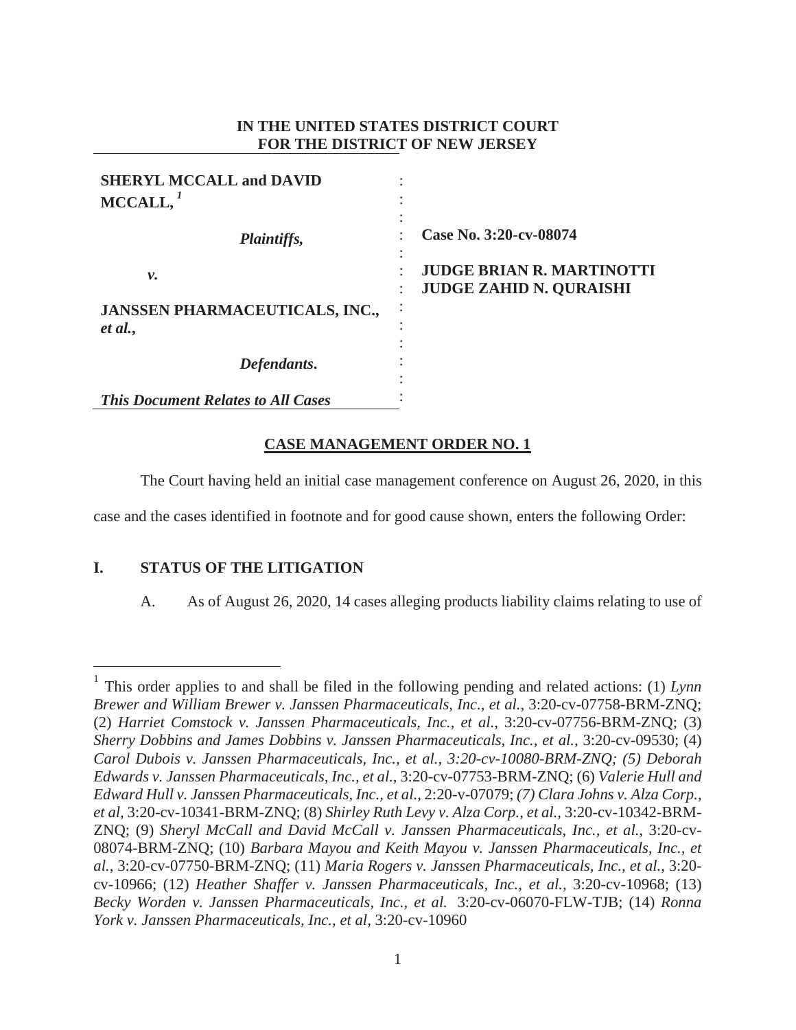# **IN THE UNITED STATES DISTRICT COURT FOR THE DISTRICT OF NEW JERSEY**

| <b>SHERYL MCCALL and DAVID</b><br>MCCALL,        |                                                                                                |
|--------------------------------------------------|------------------------------------------------------------------------------------------------|
| <i>Plaintiffs,</i>                               | Case No. 3:20-cv-08074                                                                         |
| ν.                                               | $\overline{\phantom{a}}$<br><b>JUDGE BRIAN R. MARTINOTTI</b><br><b>JUDGE ZAHID N. QURAISHI</b> |
| <b>JANSSEN PHARMACEUTICALS, INC.,</b><br>et al., | ٠                                                                                              |
| Defendants.                                      |                                                                                                |
| <b>This Document Relates to All Cases</b>        |                                                                                                |

# **CASE MANAGEMENT ORDER NO. 1**

The Court having held an initial case management conference on August 26, 2020, in this

case and the cases identified in footnote and for good cause shown, enters the following Order:

# **I. STATUS OF THE LITIGATION**

A. As of August 26, 2020, 14 cases alleging products liability claims relating to use of

<sup>1</sup> This order applies to and shall be filed in the following pending and related actions: (1) *Lynn Brewer and William Brewer v. Janssen Pharmaceuticals, Inc., et al.*, 3:20-cv-07758-BRM-ZNQ; (2) *Harriet Comstock v. Janssen Pharmaceuticals, Inc., et al.*, 3:20-cv-07756-BRM-ZNQ; (3) *Sherry Dobbins and James Dobbins v. Janssen Pharmaceuticals, Inc., et al.,* 3:20-cv-09530; (4) *Carol Dubois v. Janssen Pharmaceuticals, Inc., et al., 3:20-cv-10080-BRM-ZNQ; (5) Deborah Edwards v. Janssen Pharmaceuticals, Inc., et al.*, 3:20-cv-07753-BRM-ZNQ; (6) *Valerie Hull and Edward Hull v. Janssen Pharmaceuticals, Inc., et al.,* 2:20-v-07079; *(7) Clara Johns v. Alza Corp., et al,* 3:20-cv-10341-BRM-ZNQ; (8) *Shirley Ruth Levy v. Alza Corp., et al.,* 3:20-cv-10342-BRM-ZNQ; (9) *Sheryl McCall and David McCall v. Janssen Pharmaceuticals, Inc., et al.*, 3:20-cv-08074-BRM-ZNQ; (10) *Barbara Mayou and Keith Mayou v. Janssen Pharmaceuticals, Inc., et al.*, 3:20-cv-07750-BRM-ZNQ; (11) *Maria Rogers v. Janssen Pharmaceuticals, Inc., et al.,* 3:20 cv-10966; (12) *Heather Shaffer v. Janssen Pharmaceuticals, Inc., et al.,* 3:20-cv-10968; (13) *Becky Worden v. Janssen Pharmaceuticals, Inc., et al.* 3:20-cv-06070-FLW-TJB; (14) *Ronna York v. Janssen Pharmaceuticals, Inc., et al,* 3:20-cv-10960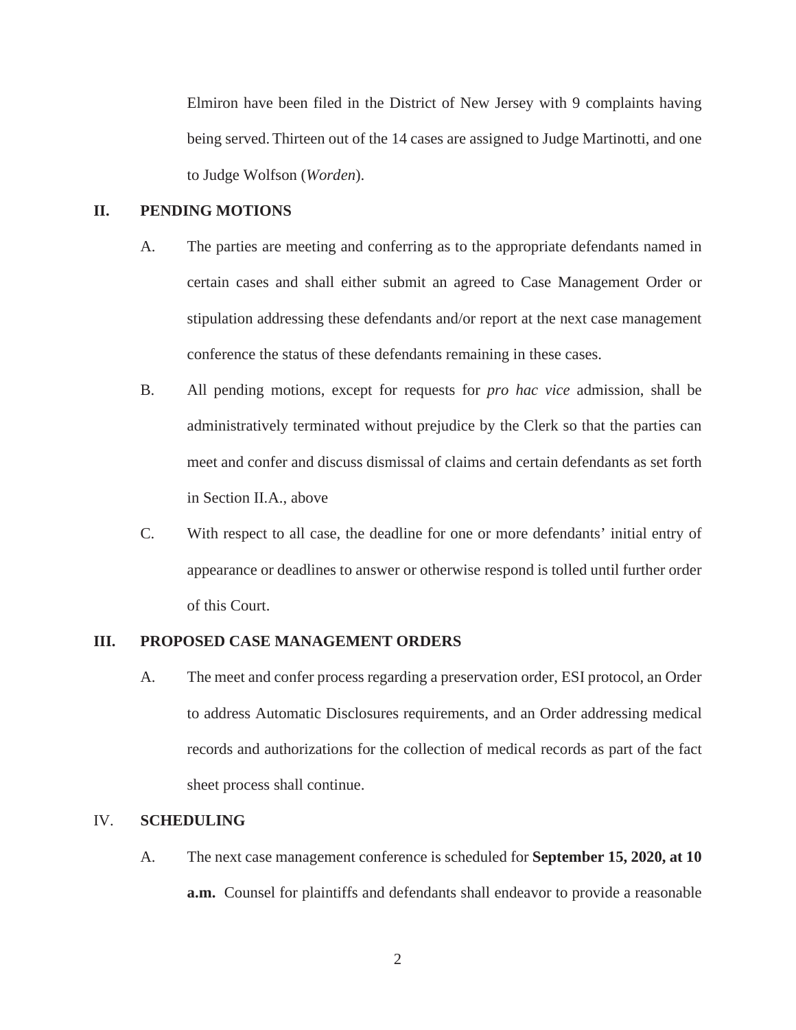Elmiron have been filed in the District of New Jersey with 9 complaints having being served. Thirteen out of the 14 cases are assigned to Judge Martinotti, and one to Judge Wolfson (*Worden*).

### **II. PENDING MOTIONS**

- A. The parties are meeting and conferring as to the appropriate defendants named in certain cases and shall either submit an agreed to Case Management Order or stipulation addressing these defendants and/or report at the next case management conference the status of these defendants remaining in these cases.
- B. All pending motions, except for requests for *pro hac vice* admission, shall be administratively terminated without prejudice by the Clerk so that the parties can meet and confer and discuss dismissal of claims and certain defendants as set forth in Section II.A., above
- C. With respect to all case, the deadline for one or more defendants' initial entry of appearance or deadlines to answer or otherwise respond is tolled until further order of this Court.

#### **III. PROPOSED CASE MANAGEMENT ORDERS**

A. The meet and confer process regarding a preservation order, ESI protocol, an Order to address Automatic Disclosures requirements, and an Order addressing medical records and authorizations for the collection of medical records as part of the fact sheet process shall continue.

#### IV. **SCHEDULING**

A. The next case management conference is scheduled for **September 15, 2020, at 10 a.m.** Counsel for plaintiffs and defendants shall endeavor to provide a reasonable